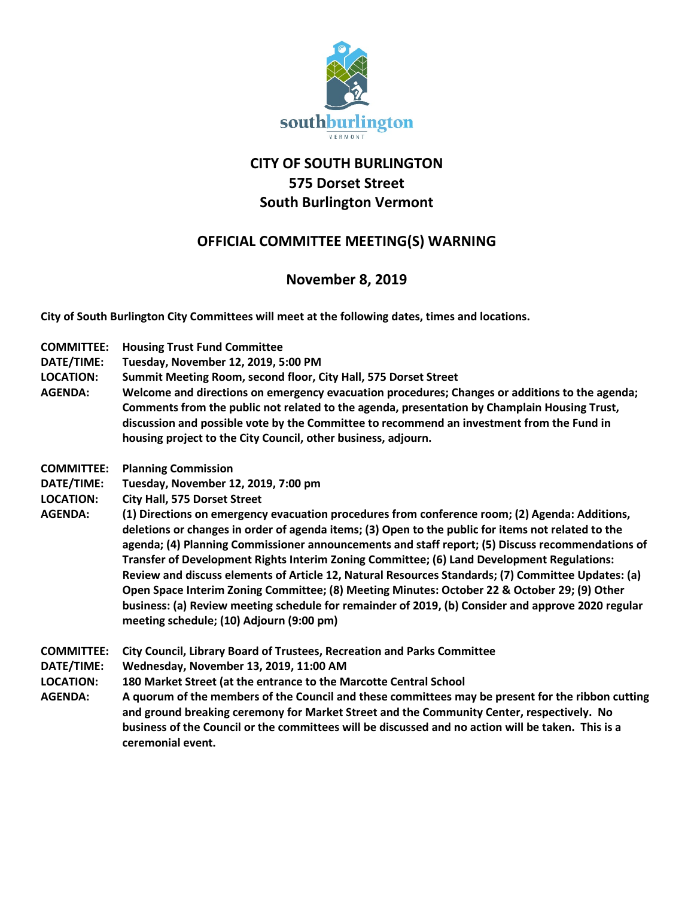

## **CITY OF SOUTH BURLINGTON 575 Dorset Street South Burlington Vermont**

## **OFFICIAL COMMITTEE MEETING(S) WARNING**

## **November 8, 2019**

**City of South Burlington City Committees will meet at the following dates, times and locations.** 

- **COMMITTEE: Housing Trust Fund Committee**
- **DATE/TIME: Tuesday, November 12, 2019, 5:00 PM**
- **LOCATION: Summit Meeting Room, second floor, City Hall, 575 Dorset Street**
- **AGENDA: Welcome and directions on emergency evacuation procedures; Changes or additions to the agenda; Comments from the public not related to the agenda, presentation by Champlain Housing Trust, discussion and possible vote by the Committee to recommend an investment from the Fund in housing project to the City Council, other business, adjourn.**
- **COMMITTEE: Planning Commission**
- **DATE/TIME: Tuesday, November 12, 2019, 7:00 pm**
- **LOCATION: City Hall, 575 Dorset Street**
- **AGENDA: (1) Directions on emergency evacuation procedures from conference room; (2) Agenda: Additions, deletions or changes in order of agenda items; (3) Open to the public for items not related to the agenda; (4) Planning Commissioner announcements and staff report; (5) Discuss recommendations of Transfer of Development Rights Interim Zoning Committee; (6) Land Development Regulations: Review and discuss elements of Article 12, Natural Resources Standards; (7) Committee Updates: (a) Open Space Interim Zoning Committee; (8) Meeting Minutes: October 22 & October 29; (9) Other business: (a) Review meeting schedule for remainder of 2019, (b) Consider and approve 2020 regular meeting schedule; (10) Adjourn (9:00 pm)**
- **COMMITTEE: City Council, Library Board of Trustees, Recreation and Parks Committee**
- **DATE/TIME: Wednesday, November 13, 2019, 11:00 AM**
- **LOCATION: 180 Market Street (at the entrance to the Marcotte Central School**
- **AGENDA: A quorum of the members of the Council and these committees may be present for the ribbon cutting and ground breaking ceremony for Market Street and the Community Center, respectively. No business of the Council or the committees will be discussed and no action will be taken. This is a ceremonial event.**